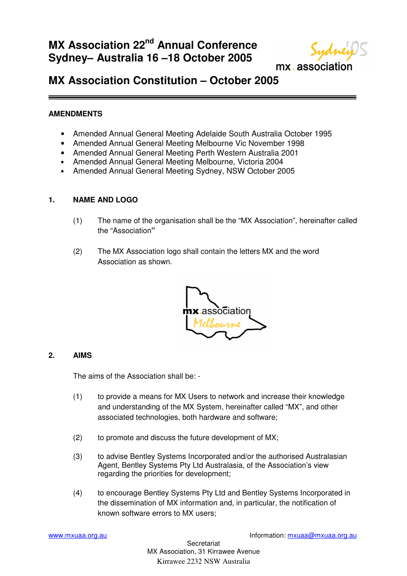# **MX Association 22nd Annual Conference Sydney– Australia 16 –18 October 2005**



mx.association

## **MX Association Constitution – October 2005**

#### **AMENDMENTS**

- Amended Annual General Meeting Adelaide South Australia October 1995
- Amended Annual General Meeting Melbourne Vic November 1998
- Amended Annual General Meeting Perth Western Australia 2001
- Amended Annual General Meeting Melbourne, Victoria 2004
- Amended Annual General Meeting Sydney, NSW October 2005

#### **1. NAME AND LOGO**

- (1) The name of the organisation shall be the "MX Association", hereinafter called the "Association**"**
- (2) The MX Association logo shall contain the letters MX and the word Association as shown.



#### **2. AIMS**

The aims of the Association shall be: -

- (1) to provide a means for MX Users to network and increase their knowledge and understanding of the MX System, hereinafter called "MX", and other associated technologies, both hardware and software;
- (2) to promote and discuss the future development of MX;
- (3) to advise Bentley Systems Incorporated and/or the authorised Australasian Agent, Bentley Systems Pty Ltd Australasia, of the Association's view regarding the priorities for development;
- (4) to encourage Bentley Systems Pty Ltd and Bentley Systems Incorporated in the dissemination of MX information and, in particular, the notification of known software errors to MX users;

[www.mxuaa.org.au](http://www.mxuaa.org.au) Information: [mxuaa@mxuaa.org.au](mailto:mxuaa@mxuaa.org.au) Information: mxuaa@mxuaa.org.au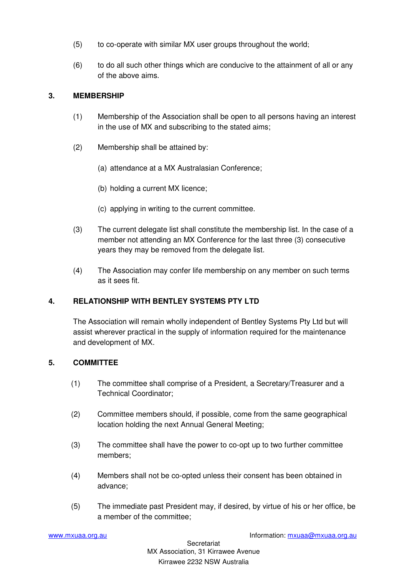- (5) to co-operate with similar MX user groups throughout the world;
- (6) to do all such other things which are conducive to the attainment of all or any of the above aims.

## **3. MEMBERSHIP**

- (1) Membership of the Association shall be open to all persons having an interest in the use of MX and subscribing to the stated aims;
- (2) Membership shall be attained by:
	- (a) attendance at a MX Australasian Conference;
	- (b) holding a current MX licence;
	- (c) applying in writing to the current committee.
- (3) The current delegate list shall constitute the membership list. In the case of a member not attending an MX Conference for the last three (3) consecutive years they may be removed from the delegate list.
- (4) The Association may confer life membership on any member on such terms as it sees fit.

## **4. RELATIONSHIP WITH BENTLEY SYSTEMS PTY LTD**

The Association will remain wholly independent of Bentley Systems Pty Ltd but will assist wherever practical in the supply of information required for the maintenance and development of MX.

#### **5. COMMITTEE**

- (1) The committee shall comprise of a President, a Secretary/Treasurer and a Technical Coordinator;
- (2) Committee members should, if possible, come from the same geographical location holding the next Annual General Meeting;
- (3) The committee shall have the power to co-opt up to two further committee members;
- (4) Members shall not be co-opted unless their consent has been obtained in advance;
- (5) The immediate past President may, if desired, by virtue of his or her office, be a member of the committee;

[www.mxuaa.org.au](http://www.mxuaa.org.au) Information: [mxuaa@mxuaa.org.au](mailto:mxuaa@mxuaa.org.au) Information: mxuaa@mxuaa.org.au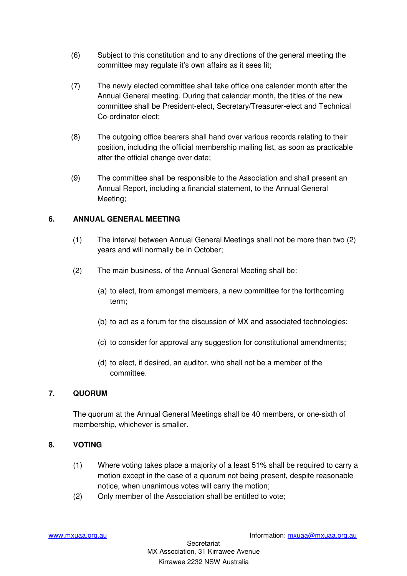- (6) Subject to this constitution and to any directions of the general meeting the committee may regulate it's own affairs as it sees fit;
- (7) The newly elected committee shall take office one calender month after the Annual General meeting. During that calendar month, the titles of the new committee shall be President-elect, Secretary/Treasurer-elect and Technical Co-ordinator-elect;
- (8) The outgoing office bearers shall hand over various records relating to their position, including the official membership mailing list, as soon as practicable after the official change over date;
- (9) The committee shall be responsible to the Association and shall present an Annual Report, including a financial statement, to the Annual General Meeting;

#### **6. ANNUAL GENERAL MEETING**

- (1) The interval between Annual General Meetings shall not be more than two (2) years and will normally be in October;
- (2) The main business, of the Annual General Meeting shall be:
	- (a) to elect, from amongst members, a new committee for the forthcoming term;
	- (b) to act as a forum for the discussion of MX and associated technologies;
	- (c) to consider for approval any suggestion for constitutional amendments;
	- (d) to elect, if desired, an auditor, who shall not be a member of the committee.

## **7. QUORUM**

The quorum at the Annual General Meetings shall be 40 members, or one-sixth of membership, whichever is smaller.

#### **8. VOTING**

- (1) Where voting takes place a majority of a least 51% shall be required to carry a motion except in the case of a quorum not being present, despite reasonable notice, when unanimous votes will carry the motion;
- (2) Only member of the Association shall be entitled to vote;

[www.mxuaa.org.au](http://www.mxuaa.org.au) Information: [mxuaa@mxuaa.org.au](mailto:mxuaa@mxuaa.org.au)

**Secretariat** MX Association, 31 Kirrawee Avenue Kirrawee 2232 NSW Australia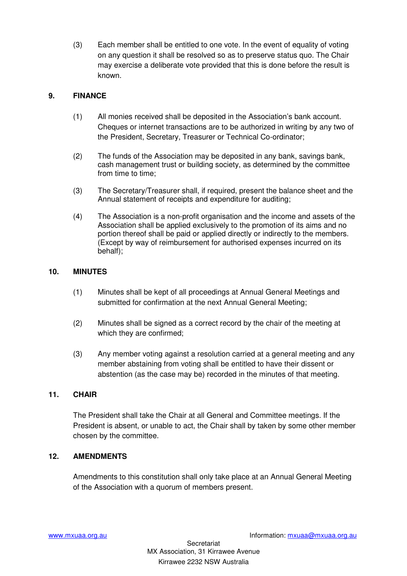(3) Each member shall be entitled to one vote. In the event of equality of voting on any question it shall be resolved so as to preserve status quo. The Chair may exercise a deliberate vote provided that this is done before the result is known.

## **9. FINANCE**

- (1) All monies received shall be deposited in the Association's bank account. Cheques or internet transactions are to be authorized in writing by any two of the President, Secretary, Treasurer or Technical Co-ordinator;
- (2) The funds of the Association may be deposited in any bank, savings bank, cash management trust or building society, as determined by the committee from time to time;
- (3) The Secretary/Treasurer shall, if required, present the balance sheet and the Annual statement of receipts and expenditure for auditing;
- (4) The Association is a non-profit organisation and the income and assets of the Association shall be applied exclusively to the promotion of its aims and no portion thereof shall be paid or applied directly or indirectly to the members. (Except by way of reimbursement for authorised expenses incurred on its behalf);

#### **10. MINUTES**

- (1) Minutes shall be kept of all proceedings at Annual General Meetings and submitted for confirmation at the next Annual General Meeting;
- (2) Minutes shall be signed as a correct record by the chair of the meeting at which they are confirmed;
- (3) Any member voting against a resolution carried at a general meeting and any member abstaining from voting shall be entitled to have their dissent or abstention (as the case may be) recorded in the minutes of that meeting.

#### **11. CHAIR**

The President shall take the Chair at all General and Committee meetings. If the President is absent, or unable to act, the Chair shall by taken by some other member chosen by the committee.

#### **12. AMENDMENTS**

Amendments to this constitution shall only take place at an Annual General Meeting of the Association with a quorum of members present.

**Secretariat** MX Association, 31 Kirrawee Avenue Kirrawee 2232 NSW Australia